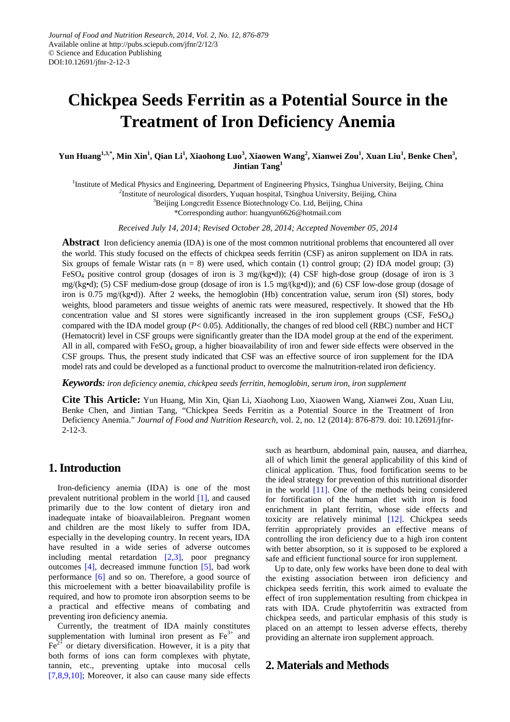# **Chickpea Seeds Ferritin as a Potential Source in the Treatment of Iron Deficiency Anemia**

**Yun Huang1,3,\* , Min Xin1 , Qian Li1 , Xiaohong Luo<sup>3</sup> , Xiaowen Wang<sup>2</sup> , Xianwei Zou1 , Xuan Liu<sup>1</sup> , Benke Chen3 , Jintian Tang<sup>1</sup>**

<sup>1</sup>Institute of Medical Physics and Engineering, Department of Engineering Physics, Tsinghua University, Beijing, China

<sup>2</sup>Institute of neurological disorders, Yuquan hospital, Tsinghua University, Beijing, China

<sup>3</sup>Beijing Longcredit Essence Biotechnology Co. Ltd, Beijing, China

\*Corresponding author: huangyun6626@hotmail.com

*Received July 14, 2014; Revised October 28, 2014; Accepted November 05, 2014*

**Abstract** Iron deficiency anemia (IDA) is one of the most common nutritional problems that encountered all over the world. This study focused on the effects of chickpea seeds ferritin (CSF) as aniron supplement on IDA in rats. Six groups of female Wistar rats  $(n = 8)$  were used, which contain (1) control group; (2) IDA model group; (3) FeSO4 positive control group (dosages of iron is 3 mg/(kg•d)); (4) CSF high-dose group (dosage of iron is 3 mg/(kg•d); (5) CSF medium-dose group (dosage of iron is 1.5 mg/(kg•d)); and (6) CSF low-dose group (dosage of iron is 0.75 mg/(kg•d)). After 2 weeks, the hemoglobin (Hb) concentration value, serum iron (SI) stores, body weights, blood parameters and tissue weights of anemic rats were measured, respectively. It showed that the Hb concentration value and SI stores were significantly increased in the iron supplement groups  $(CSF, FeSO<sub>4</sub>)$ compared with the IDA model group (*P*< 0.05). Additionally, the changes of red blood cell (RBC) number and HCT (Hematocrit) level in CSF groups were significantly greater than the IDA model group at the end of the experiment. All in all, compared with  $F \in SO_4$  group, a higher bioavailability of iron and fewer side effects were observed in the CSF groups. Thus, the present study indicated that CSF was an effective source of iron supplement for the IDA model rats and could be developed as a functional product to overcome the malnutrition-related iron deficiency.

#### *Keywords: iron deficiency anemia, chickpea seeds ferritin, hemoglobin, serum iron, iron supplement*

**Cite This Article:** Yun Huang, Min Xin, Qian Li, Xiaohong Luo, Xiaowen Wang, Xianwei Zou, Xuan Liu, Benke Chen, and Jintian Tang, "Chickpea Seeds Ferritin as a Potential Source in the Treatment of Iron Deficiency Anemia." *Journal of Food and Nutrition Research*, vol. 2, no. 12 (2014): 876-879. doi: 10.12691/jfnr-2-12-3.

# **1. Introduction**

Iron-deficiency anemia (IDA) is one of the most prevalent nutritional problem in the world [\[1\],](#page-3-0) and caused primarily due to the low content of dietary iron and inadequate intake of bioavailableiron. Pregnant women and children are the most likely to suffer from IDA, especially in the developing country. In recent years, IDA have resulted in a wide series of adverse outcomes including mental retardation [\[2,3\],](#page-3-1) poor pregnancy outcomes [\[4\],](#page-3-2) decreased immune function [\[5\],](#page-3-3) bad work performance [\[6\]](#page-3-4) and so on. Therefore, a good source of this microelement with a better bioavailability profile is required, and how to promote iron absorption seems to be a practical and effective means of combating and preventing iron deficiency anemia.

Currently, the treatment of IDA mainly constitutes supplementation with luminal iron present as  $Fe<sup>3+</sup>$  and  $Fe<sup>2+</sup>$  or dietary diversification. However, it is a pity that both forms of ions can form complexes with phytate, tannin, etc., preventing uptake into mucosal cells [\[7,8,9,10\];](#page-3-5) Moreover, it also can cause many side effects

such as heartburn, abdominal pain, nausea, and diarrhea, all of which limit the general applicability of this kind of clinical application. Thus, food fortification seems to be the ideal strategy for prevention of this nutritional disorder in the world  $[11]$ . One of the methods being considered for fortification of the human diet with iron is food enrichment in plant ferritin, whose side effects and toxicity are relatively minimal [\[12\].](#page-3-7) Chickpea seeds ferritin appropriately provides an effective means of controlling the iron deficiency due to a high iron content with better absorption, so it is supposed to be explored a safe and efficient functional source for iron supplement.

Up to date, only few works have been done to deal with the existing association between iron deficiency and chickpea seeds ferritin, this work aimed to evaluate the effect of iron supplementation resulting from chickpea in rats with IDA. Crude phytoferritin was extracted from chickpea seeds, and particular emphasis of this study is placed on an attempt to lessen adverse effects, thereby providing an alternate iron supplement approach.

# **2. Materials and Methods**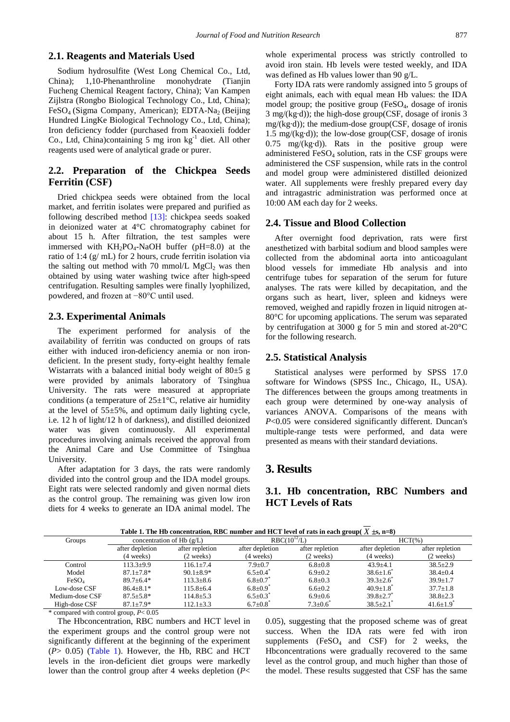### **2.1. Reagents and Materials Used**

Sodium hydrosulfite (West Long Chemical Co., Ltd, China); 1,10-Phenanthroline monohydrate (Tianjin Fucheng Chemical Reagent factory, China); Van Kampen Zijlstra (Rongbo Biological Technology Co., Ltd, China); Fe $SO_4$  (Sigma Company, American); EDTA-Na<sub>2</sub> (Beijing Hundred LingKe Biological Technology Co., Ltd, China); Iron deficiency fodder (purchased from Keaoxieli fodder Co., Ltd, China)containing 5 mg iron  $kg<sup>-1</sup>$  diet. All other reagents used were of analytical grade or purer.

## **2.2. Preparation of the Chickpea Seeds Ferritin (CSF)**

Dried chickpea seeds were obtained from the local market, and ferritin isolates were prepared and purified as following described method [\[13\]:](#page-3-8) chickpea seeds soaked in deionized water at 4°C chromatography cabinet for about 15 h. After filtration, the test samples were immersed with  $KH_2PO_4$ -NaOH buffer (pH=8.0) at the ratio of 1:4 (g/ mL) for 2 hours, crude ferritin isolation via the salting out method with 70 mmol/L  $MgCl<sub>2</sub>$  was then obtained by using water washing twice after high-speed centrifugation. Resulting samples were finally lyophilized, powdered, and frozen at −80°C until used.

### **2.3. Experimental Animals**

The experiment performed for analysis of the availability of ferritin was conducted on groups of rats either with induced iron-deficiency anemia or non irondeficient. In the present study, forty-eight healthy female Wistarrats with a balanced initial body weight of  $80±5$  g were provided by animals laboratory of Tsinghua University. The rats were measured at appropriate conditions (a temperature of  $25 \pm 1$ °C, relative air humidity at the level of 55±5%, and optimum daily lighting cycle, i.e. 12 h of light/12 h of darkness), and distilled deionized water was given continuously. All experimental procedures involving animals received the approval from the Animal Care and Use Committee of Tsinghua University.

After adaptation for 3 days, the rats were randomly divided into the control group and the IDA model groups. Eight rats were selected randomly and given normal diets as the control group. The remaining was given low iron diets for 4 weeks to generate an IDA animal model. The whole experimental process was strictly controlled to avoid iron stain. Hb levels were tested weekly, and IDA was defined as Hb values lower than 90 g/L.

Forty IDA rats were randomly assigned into 5 groups of eight animals, each with equal mean Hb values: the IDA model group; the positive group (FeSO<sub>4</sub>, dosage of ironis 3 mg/(kg·d)); the high-dose group(CSF, dosage of ironis 3 mg/(kg·d)); the medium-dose group(CSF, dosage of ironis 1.5 mg/( $kg \cdot d$ )); the low-dose group(CSF, dosage of ironis  $0.75 \text{ mg/(kg \cdot d)}$ . Rats in the positive group were administered  $FeSO<sub>4</sub>$  solution, rats in the CSF groups were administered the CSF suspension, while rats in the control and model group were administered distilled deionized water. All supplements were freshly prepared every day and intragastric administration was performed once at 10:00 AM each day for 2 weeks.

#### **2.4. Tissue and Blood Collection**

After overnight food deprivation, rats were first anesthetized with barbital sodium and blood samples were collected from the abdominal aorta into anticoagulant blood vessels for immediate Hb analysis and into centrifuge tubes for separation of the serum for future analyses. The rats were killed by decapitation, and the organs such as heart, liver, spleen and kidneys were removed, weighed and rapidly frozen in liquid nitrogen at-80°C for upcoming applications. The serum was separated by centrifugation at 3000 g for 5 min and stored at-20°C for the following research.

#### **2.5. Statistical Analysis**

Statistical analyses were performed by SPSS 17.0 software for Windows (SPSS Inc., Chicago, IL, USA). The differences between the groups among treatments in each group were determined by one-way analysis of variances ANOVA. Comparisons of the means with *P*<0.05 were considered significantly different. Duncan's multiple-range tests were performed, and data were presented as means with their standard deviations.

## **3. Results**

## **3.1. Hb concentration, RBC Numbers and HCT Levels of Rats**

<span id="page-1-0"></span>

| Table 1: The HD concentration, RDC humber and HCT level of facts in each group( $\lambda_1$ 23, n=0) |                                                          |                     |                     |                     |                        |                     |  |  |
|------------------------------------------------------------------------------------------------------|----------------------------------------------------------|---------------------|---------------------|---------------------|------------------------|---------------------|--|--|
| Groups                                                                                               | concentration of Hb $(g/L)$                              |                     | $RBC(10^{12}/L)$    |                     | $HCT(\%)$              |                     |  |  |
|                                                                                                      | after depletion                                          | after repletion     | after depletion     | after repletion     | after depletion        | after repletion     |  |  |
|                                                                                                      | $(4 \text{ weeks})$                                      | $(2 \text{ weeks})$ | $(4 \text{ weeks})$ | $(2 \text{ weeks})$ | $(4 \text{ weeks})$    | $(2 \text{ weeks})$ |  |  |
| Control                                                                                              | $113.3+9.9$                                              | $116.1 + 7.4$       | $7.9 + 0.7$         | $6.8 \pm 0.8$       | $43.9 \pm 4.1$         | $38.5 \pm 2.9$      |  |  |
| Model                                                                                                | $87.1 \pm 7.8^*$                                         | $90.1 \pm 8.9*$     | $6.5 \pm 0.4$       | $6.9 \pm 0.2$       | $38.6 \pm 1.6$         | $38.4 \pm 0.4$      |  |  |
| FeSO <sub>4</sub>                                                                                    | $89.7 \pm 6.4*$                                          | $113.3 \pm 8.6$     | $6.8 \pm 0.7^*$     | $6.8 \pm 0.3$       | $39.3 \pm 2.6$         | $39.9 \pm 1.7$      |  |  |
| Low-dose CSF                                                                                         | $86.4 \pm 8.1*$                                          | $115.8 \pm 6.4$     | $6.8 \pm 0.9$       | $6.6 \pm 0.2$       | $40.9 \pm 1.8$         | $37.7 \pm 1.8$      |  |  |
| Medium-dose CSF                                                                                      | $87.5 + 5.8*$                                            | $114.8 \pm 5.3$     | $6.5 \pm 0.3^*$     | $6.9 \pm 0.6$       | $39.8 \pm 2.7$         | $38.8 \pm 2.3$      |  |  |
| High-dose CSF                                                                                        | $87.1 \pm 7.9*$                                          | $112.1 \pm 3.3$     | $6.7 \pm 0.8$       | $7.3 \pm 0.6^*$     | $38.5 \pm 2.1^{\circ}$ | $41.6 \pm 1.9$      |  |  |
|                                                                                                      | $\frac{1}{2}$ compared with control over $D \times 0.05$ |                     |                     |                     |                        |                     |  |  |

**Table 1. The Hb concentration, RBC number and HCT level of rats in each group(** $\overline{X}$  **+s, n-8)** 

compared with control group,  $P < 0.05$ 

The Hbconcentration, RBC numbers and HCT level in the experiment groups and the control group were not significantly different at the beginning of the experiment  $(P > 0.05)$  [\(Table 1\)](#page-1-0). However, the Hb, RBC and HCT levels in the iron-deficient diet groups were markedly lower than the control group after 4 weeks depletion (*P*< 0.05), suggesting that the proposed scheme was of great success. When the IDA rats were fed with iron supplements  $(FeSO<sub>4</sub>$  and CSF) for 2 weeks, the Hbconcentrations were gradually recovered to the same level as the control group, and much higher than those of the model. These results suggested that CSF has the same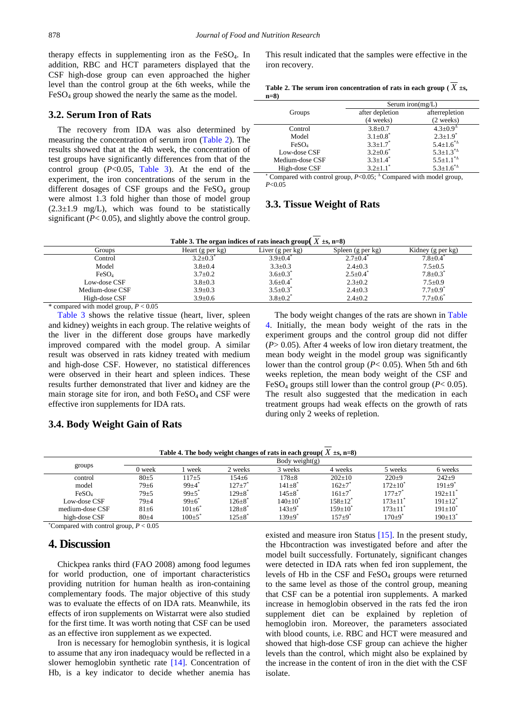therapy effects in supplementing iron as the  $FeSO<sub>4</sub>$ . In addition, RBC and HCT parameters displayed that the CSF high-dose group can even approached the higher level than the control group at the 6th weeks, while the  $FeSO<sub>4</sub>$  group showed the nearly the same as the model.

#### **3.2. Serum Iron of Rats**

The recovery from IDA was also determined by measuring the concentration of serum iron [\(Table 2\)](#page-2-0). The results showed that at the 4th week, the concentration of test groups have significantly differences from that of the control group  $(P<0.05,$  [Table 3\)](#page-2-1). At the end of the experiment, the iron concentrations of the serum in the different dosages of CSF groups and the  $FeSO<sub>4</sub>$  group were almost 1.3 fold higher than those of model group  $(2.3\pm1.9 \text{ mg/L})$ , which was found to be statistically significant (*P*< 0.05), and slightly above the control group.

This result indicated that the samples were effective in the iron recovery.

|           |  | Table 2. The serum iron concentration of rats in each group ( $X \pm s$ , |  |  |  |
|-----------|--|---------------------------------------------------------------------------|--|--|--|
| $\sim$ 0) |  |                                                                           |  |  |  |

<span id="page-2-0"></span>

| $n=8$             |                            |                                                   |  |  |  |
|-------------------|----------------------------|---------------------------------------------------|--|--|--|
|                   | Serum iron( $mg/L$ )       |                                                   |  |  |  |
| Groups            | after depletion            | afterrepletion                                    |  |  |  |
|                   | (4 weeks)                  | (2 weeks)                                         |  |  |  |
| Control           | $3.8 \pm 0.7$              | $4.3 \pm 0.9$ <sup><math>\triangle</math></sup>   |  |  |  |
| Model             | $3.1 \pm 0.8^*$            | $2.3 \pm 1.9$ <sup>*</sup>                        |  |  |  |
| FeSO <sub>4</sub> | $3.3 + 1.7$ <sup>*</sup>   | $5.4 \pm 1.6^{\ast \Delta}$                       |  |  |  |
| Low-dose CSF      | $3.2 \pm 0.6^*$            | $5.3 \pm 1.3^{\ast \Delta}$                       |  |  |  |
| Medium-dose CSF   | $3.3 + 1.4$ <sup>*</sup>   | $5.5 \pm 1.1^*$ <sup><math>\triangle</math></sup> |  |  |  |
| High-dose CSF     | $3.2 \pm 1.1$ <sup>*</sup> | $5.3 \pm 1.6^{*4}$                                |  |  |  |

<sup>∗</sup> Compared with control group, *P*<0.05; <sup>∆</sup> Compared with model group, *P*<0.05

## **3.3. Tissue Weight of Rats**

**Table** 3. The organ indices of rats ineach group( $\overline{X}$   $\pm$ s, n=8)

<span id="page-2-1"></span>

|                   | $\sim$           | $\sim$                     |                   |                            |
|-------------------|------------------|----------------------------|-------------------|----------------------------|
| Groups            | Heart (g per kg) | Liver (g per kg)           | Spleen (g per kg) | Kidney (g per kg)          |
| Control           | $3.2 \pm 0.3$    | $3.9 \pm 0.4$              | $2.7 \pm 0.4$     | $7.8 \pm 0.4$              |
| Model             | $3.8 \pm 0.4$    | $3.3 \pm 0.3$              | $2.4 \pm 0.3$     | $7.5 \pm 0.5$              |
| FeSO <sub>4</sub> | $3.7 \pm 0.2$    | $3.6 \pm 0.3^*$            | $2.5 \pm 0.4$     | $7.8 \pm 0.3^*$            |
| Low-dose CSF      | $3.8 \pm 0.3$    | $3.6 \pm 0.4$ <sup>*</sup> | $2.3 \pm 0.2$     | $7.5 \pm 0.9$              |
| Medium-dose CSF   | $3.9 \pm 0.3$    | $3.5 \pm 0.3$              | $2.4 \pm 0.3$     | $7.7 \pm 0.9$ <sup>*</sup> |
| High-dose CSF     | $3.9 \pm 0.6$    | $3.8 \pm 0.2^*$            | $2.4 \pm 0.2$     | $7.7 \pm 0.6^*$            |
| .<br>- - - -      |                  |                            |                   |                            |

 $*$  compared with model group,  $P < 0.05$ 

[Table 3](#page-2-1) shows the relative tissue (heart, liver, spleen and kidney) weights in each group. The relative weights of the liver in the different dose groups have markedly improved compared with the model group. A similar result was observed in rats kidney treated with medium and high-dose CSF. However, no statistical differences were observed in their heart and spleen indices. These results further demonstrated that liver and kidney are the main storage site for iron, and both  $FeSO<sub>4</sub>$  and CSF were effective iron supplements for IDA rats.

The body weight changes of the rats are shown in [Table](#page-2-2)  [4.](#page-2-2) Initially, the mean body weight of the rats in the experiment groups and the control group did not differ (*P*> 0.05). After 4 weeks of low iron dietary treatment, the mean body weight in the model group was significantly lower than the control group (*P*< 0.05). When 5th and 6th weeks repletion, the mean body weight of the CSF and FeSO<sub>4</sub> groups still lower than the control group ( $P < 0.05$ ). The result also suggested that the medication in each treatment groups had weak effects on the growth of rats during only 2 weeks of repletion.

#### **3.4. Body Weight Gain of Rats**

<span id="page-2-2"></span>

|                                     | Body weight(g) |             |                          |                          |                   |              |                        |  |  |
|-------------------------------------|----------------|-------------|--------------------------|--------------------------|-------------------|--------------|------------------------|--|--|
| groups                              | 0 week         | week        | 2 weeks                  | 3 weeks                  | 4 weeks           | 5 weeks      | 6 weeks                |  |  |
| control                             | $80+5$         | $117\pm 5$  | $154 + 6$                | $178 + 8$                | $202+10$          | $220 + 9$    | $242+9$                |  |  |
| model                               | $79 + 6$       | $99 + 4$    | $127 + 7$                | $141 \pm 8$ <sup>*</sup> | $162 + 7$         | 172+10°      | $191 + 9$ <sup>*</sup> |  |  |
| FeSO <sub>4</sub>                   | $79 + 5$       | $99+5$      | 129+8°                   | $145 + 8$                | $161 + 7$         | $177+7$      | 192±11'                |  |  |
| Low-dose CSF                        | $79 + 4$       | $99 \pm 6$  | $126 \pm 8$ <sup>*</sup> | $140{\pm}10^*$           | $158 \pm 12^{*}$  | $173 \pm 11$ | $191 \pm 12^{*}$       |  |  |
| medium-dose CSF                     | $81 \pm 6$     | $101 \pm 6$ | $128 \pm 8$              | $143 + 9$                | $159 \pm 10^{-7}$ | $173 + 11$   | $191 \pm 10^{3}$       |  |  |
| high-dose CSF                       | $80 + 4$       | $100+5$     | $125\pm8^\circ$          | $139 + 9$                | $157 \pm 9$       | $170 + 9$    | 190±13°                |  |  |
| and the contract of the contract of |                |             |                          |                          |                   |              |                        |  |  |

**Table 4. The body weight changes of rats in each group(** $X \pm s$ **, n=8)** 

∗ Compared with control group, *P* < 0.05

## **4. Discussion**

Chickpea ranks third (FAO 2008) among food legumes for world production, one of important characteristics providing nutrition for human health as iron-containing complementary foods. The major objective of this study was to evaluate the effects of on IDA rats. Meanwhile, its effects of iron supplements on Wistarrat were also studied for the first time. It was worth noting that CSF can be used as an effective iron supplement as we expected.

Iron is necessary for hemoglobin synthesis, it is logical to assume that any iron inadequacy would be reflected in a slower hemoglobin synthetic rate [\[14\].](#page-3-9) Concentration of Hb, is a key indicator to decide whether anemia has existed and measure iron Status [\[15\].](#page-3-10) In the present study, the Hbcontraction was investigated before and after the model built successfully. Fortunately, significant changes were detected in IDA rats when fed iron supplement, the levels of Hb in the CSF and  $FeSO<sub>4</sub>$  groups were returned to the same level as those of the control group, meaning that CSF can be a potential iron supplements. A marked increase in hemoglobin observed in the rats fed the iron supplement diet can be explained by repletion of hemoglobin iron. Moreover, the parameters associated with blood counts, i.e. RBC and HCT were measured and showed that high-dose CSF group can achieve the higher levels than the control, which might also be explained by the increase in the content of iron in the diet with the CSF isolate.